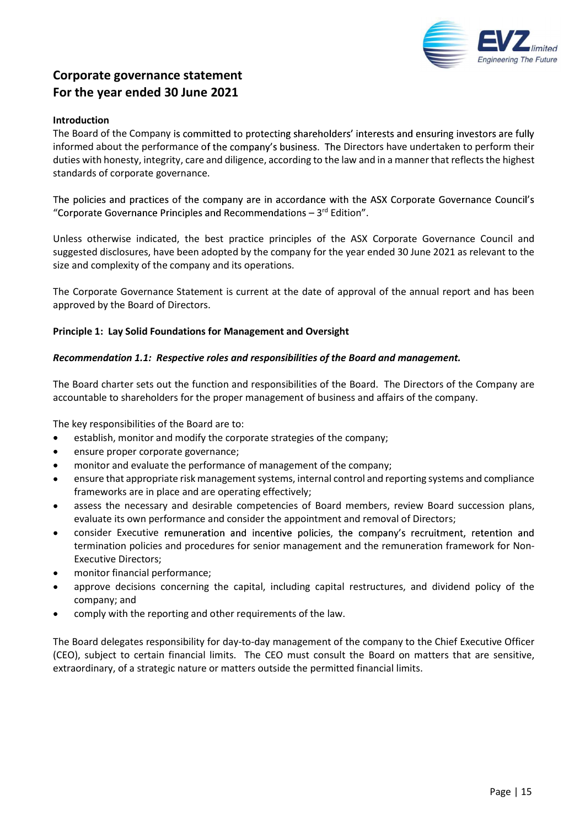

#### Introduction

The Board of the Company is committed to protecting shareholders' interests and ensuring investors are fully informed about the performance of the company's business. The Directors have undertaken to perform their duties with honesty, integrity, care and diligence, according to the law and in a manner that reflects the highest standards of corporate governance.

The policies and practices of the company are in accordance with the ASX Corporate Governance Council's "Corporate Governance Principles and Recommendations  $-3$ <sup>rd</sup> Edition".<br>Unless otherwise indicated, the best practice principles of the ASX Corporate Governance Council and

suggested disclosures, have been adopted by the company for the year ended 30 June 2021 as relevant to the size and complexity of the company and its operations.

The Corporate Governance Statement is current at the date of approval of the annual report and has been approved by the Board of Directors.

#### Principle 1: Lay Solid Foundations for Management and Oversight

# Recommendation 1.1: Respective roles and responsibilities of the Board and management.

The Board charter sets out the function and responsibilities of the Board. The Directors of the Company are accountable to shareholders for the proper management of business and affairs of the company.

The key responsibilities of the Board are to:

- establish, monitor and modify the corporate strategies of the company;  $\bullet$
- ensure proper corporate governance;
- monitor and evaluate the performance of management of the company;
- ensure that appropriate risk management systems, internal control and reporting systems and compliance frameworks are in place and are operating effectively;
- assess the necessary and desirable competencies of Board members, review Board succession plans,  $\bullet$ evaluate its own performance and consider the appointment and removal of Directors;
- consider Executive remuneration and incentive policies, the company's recruitment, retention and termination policies and procedures for senior management and the remuneration framework for Non-Executive Directors;
- monitor financial performance;
- approve decisions concerning the capital, including capital restructures, and dividend policy of the company; and
- comply with the reporting and other requirements of the law.

The Board delegates responsibility for day-to-day management of the company to the Chief Executive Officer (CEO), subject to certain financial limits. The CEO must consult the Board on matters that are sensitive, extraordinary, of a strategic nature or matters outside the permitted financial limits.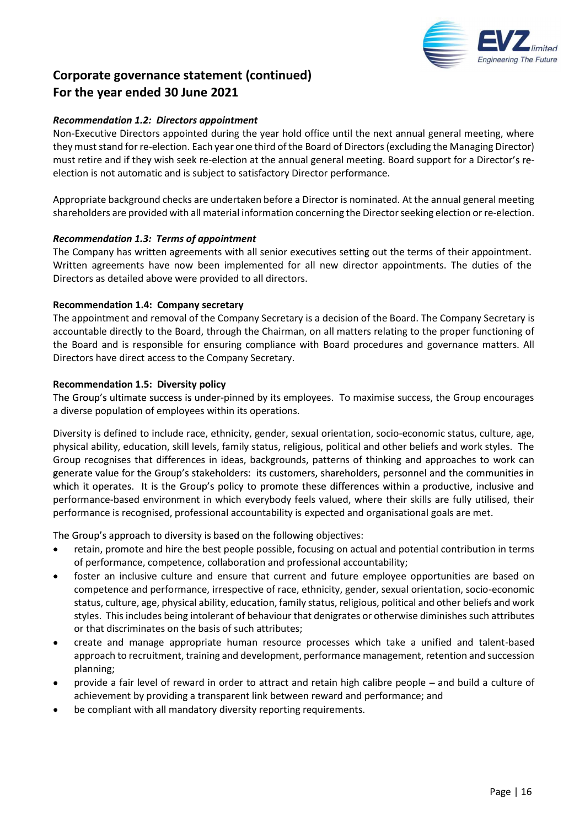

# Recommendation 1.2: Directors appointment

Non-Executive Directors appointed during the year hold office until the next annual general meeting, where they must stand for re-election. Each year one third of the Board of Directors (excluding the Managing Director) must retire and if they wish seek re-election at the annual general meeting. Board support for a Director's reelection is not automatic and is subject to satisfactory Director performance.

Appropriate background checks are undertaken before a Director is nominated. At the annual general meeting shareholders are provided with all material information concerning the Director seeking election or re-election.

# Recommendation 1.3: Terms of appointment

The Company has written agreements with all senior executives setting out the terms of their appointment. Written agreements have now been implemented for all new director appointments. The duties of the Directors as detailed above were provided to all directors.

# Recommendation 1.4: Company secretary

The appointment and removal of the Company Secretary is a decision of the Board. The Company Secretary is accountable directly to the Board, through the Chairman, on all matters relating to the proper functioning of the Board and is responsible for ensuring compliance with Board procedures and governance matters. All Directors have direct access to the Company Secretary.

Recommendation 1.5: Diversity policy<br>The Group's ultimate success is under-pinned by its employees. To maximise success, the Group encourages a diverse population of employees within its operations.

Diversity is defined to include race, ethnicity, gender, sexual orientation, socio-economic status, culture, age, physical ability, education, skill levels, family status, religious, political and other beliefs and work styles. The Group recognises that differences in ideas, backgrounds, patterns of thinking and approaches to work can generate value for the Group's stakeholders: its customers, shareholders, personnel and the communities in which it operates. It is the Group's policy to promote these differences within a productive, inclusive and performance-based environment in which everybody feels valued, where their skills are fully utilised, their performance is recognised, professional accountability is expected and organisational goals are met.

The Group's approach to diversity is based on the following objectives:

- retain, promote and hire the best people possible, focusing on actual and potential contribution in terms of performance, competence, collaboration and professional accountability;
- foster an inclusive culture and ensure that current and future employee opportunities are based on competence and performance, irrespective of race, ethnicity, gender, sexual orientation, socio-economic status, culture, age, physical ability, education, family status, religious, political and other beliefs and work styles. This includes being intolerant of behaviour that denigrates or otherwise diminishes such attributes or that discriminates on the basis of such attributes;
- create and manage appropriate human resource processes which take a unified and talent-based approach to recruitment, training and development, performance management, retention and succession planning;
- provide a fair level of reward in order to attract and retain high calibre people and build a culture of achievement by providing a transparent link between reward and performance; and
- be compliant with all mandatory diversity reporting requirements.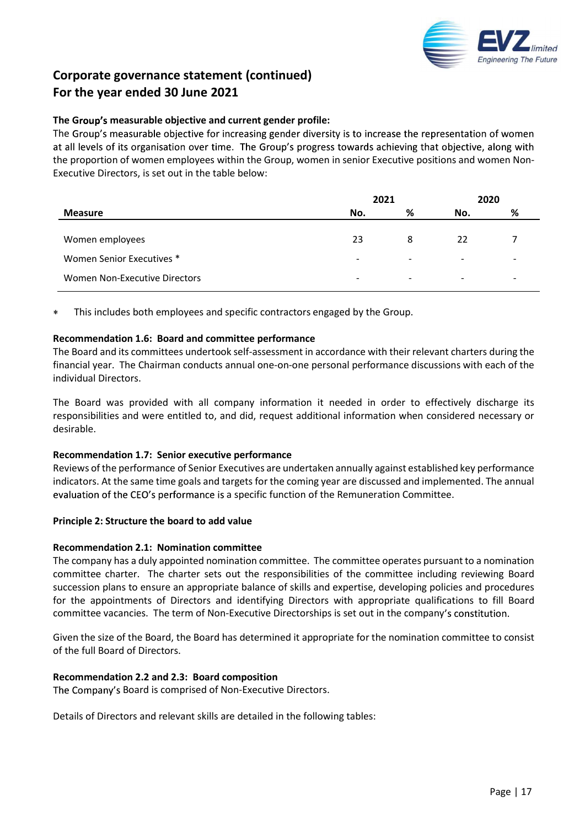

# The Group's measurable objective and current gender profile:

The Group's measurable objective for increasing gender diversity is to increase the representation of women at all levels of its organisation over time. The Group's progress towards achieving that objective, along with the proportion of women employees within the Group, women in senior Executive positions and women Non-Executive Directors, is set out in the table below:

|                               | 2021                     |        | 2020                     |                          |
|-------------------------------|--------------------------|--------|--------------------------|--------------------------|
| <b>Measure</b>                | No.                      | %      | No.                      | %                        |
| Women employees               | 23                       | 8      | 22                       |                          |
| Women Senior Executives *     | $\sim$                   | $\sim$ | $\sim$                   | $\sim$                   |
| Women Non-Executive Directors | $\overline{\phantom{a}}$ | $\sim$ | $\overline{\phantom{0}}$ | $\overline{\phantom{0}}$ |
|                               |                          |        |                          |                          |

This includes both employees and specific contractors engaged by the Group.

Recommendation 1.6: Board and committee performance<br>The Board and its committees undertook self-assessment in accordance with their relevant charters during the financial year. The Chairman conducts annual one-on-one personal performance discussions with each of the individual Directors.

The Board was provided with all company information it needed in order to effectively discharge its responsibilities and were entitled to, and did, request additional information when considered necessary or desirable.

#### Recommendation 1.7: Senior executive performance

Reviews of the performance of Senior Executives are undertaken annually against established key performance indicators. At the same time goals and targets for the coming year are discussed and implemented. The annual evaluation of the CEO's performance is a specific function of the Remuneration Committee.

#### Principle 2: Structure the board to add value

#### Recommendation 2.1: Nomination committee

The company has a duly appointed nomination committee. The committee operates pursuant to a nomination committee charter. The charter sets out the responsibilities of the committee including reviewing Board succession plans to ensure an appropriate balance of skills and expertise, developing policies and procedures for the appointments of Directors and identifying Directors with appropriate qualifications to fill Board committee vacancies. The term of Non-Executive Directorships is set out in the company's constitution.

Given the size of the Board, the Board has determined it appropriate for the nomination committee to consist of the full Board of Directors.

#### Recommendation 2.2 and 2.3: Board composition

The Company's Board is comprised of Non-Executive Directors.

Details of Directors and relevant skills are detailed in the following tables: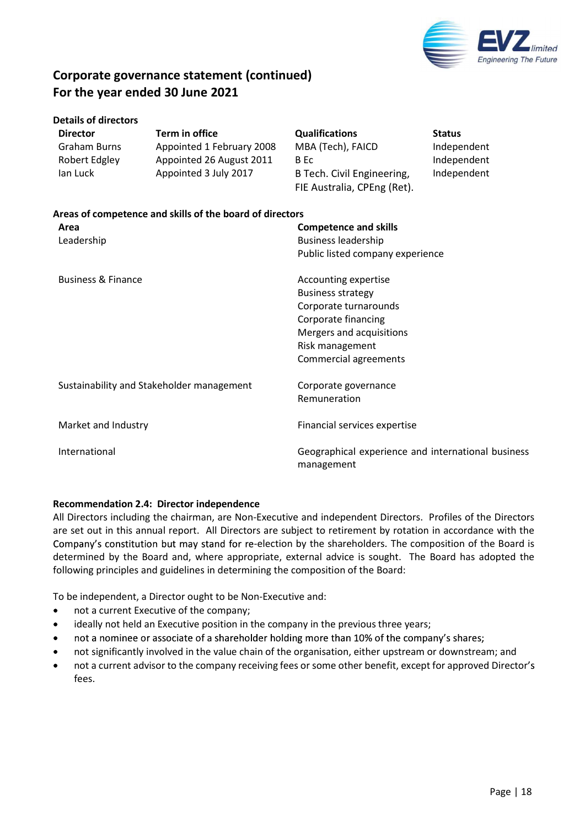

|  | <b>Details of directors</b> |  |
|--|-----------------------------|--|
|  |                             |  |

| <b>Director</b> | Term in office            | <b>Qualifications</b>       | <b>Status</b> |
|-----------------|---------------------------|-----------------------------|---------------|
| Graham Burns    | Appointed 1 February 2008 | MBA (Tech), FAICD           | Independent   |
| Robert Edgley   | Appointed 26 August 2011  | B Ec                        | Independent   |
| lan Luck        | Appointed 3 July 2017     | B Tech. Civil Engineering,  | Independent   |
|                 |                           | FIE Australia, CPEng (Ret). |               |

| Areas of competence and skills of the board of directors |                                                                  |  |  |  |  |
|----------------------------------------------------------|------------------------------------------------------------------|--|--|--|--|
| Area                                                     | <b>Competence and skills</b>                                     |  |  |  |  |
| Leadership                                               | <b>Business leadership</b>                                       |  |  |  |  |
|                                                          | Public listed company experience                                 |  |  |  |  |
| <b>Business &amp; Finance</b>                            | Accounting expertise                                             |  |  |  |  |
|                                                          | <b>Business strategy</b>                                         |  |  |  |  |
|                                                          | Corporate turnarounds                                            |  |  |  |  |
|                                                          | Corporate financing                                              |  |  |  |  |
|                                                          | Mergers and acquisitions                                         |  |  |  |  |
|                                                          | Risk management                                                  |  |  |  |  |
|                                                          | Commercial agreements                                            |  |  |  |  |
| Sustainability and Stakeholder management                | Corporate governance                                             |  |  |  |  |
|                                                          | Remuneration                                                     |  |  |  |  |
| Market and Industry                                      | Financial services expertise                                     |  |  |  |  |
| International                                            | Geographical experience and international business<br>management |  |  |  |  |

# Recommendation 2.4: Director independence

All Directors including the chairman, are Non-Executive and independent Directors. Profiles of the Directors are set out in this annual report. All Directors are subject to retirement by rotation in accordance with the Company's constitution but may stand for re-election by the shareholders. The composition of the Board is determined by the Board and, where appropriate, external advice is sought. The Board has adopted the following principles and guidelines in determining the composition of the Board:

To be independent, a Director ought to be Non-Executive and:

- not a current Executive of the company;  $\bullet$
- ideally not held an Executive position in the company in the previous three years;  $\bullet$
- not a nominee or associate of a shareholder holding more than 10% of the company's shares;
- not significantly involved in the value chain of the organisation, either upstream or downstream; and  $\bullet$
- not a current advisor to the company receiving fees or some other benefit, except for approved Director's fees.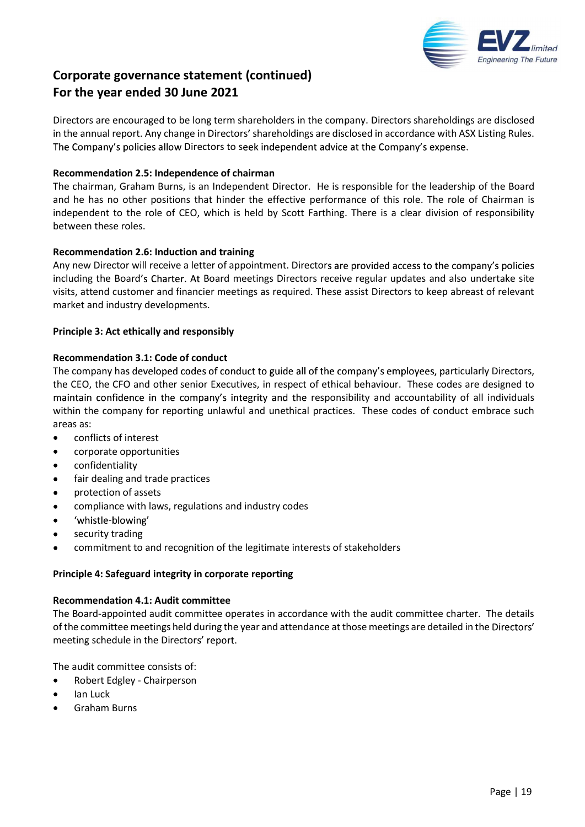

Directors are encouraged to be long term shareholders in the company. Directors shareholdings are disclosed in the annual report. Any change in Directors' shareholdings are disclosed in accordance with ASX Listing Rules. The Company's policies allow Directors to seek independent advice at the Company's expense.

# Recommendation 2.5: Independence of chairman

The chairman, Graham Burns, is an Independent Director. He is responsible for the leadership of the Board and he has no other positions that hinder the effective performance of this role. The role of Chairman is independent to the role of CEO, which is held by Scott Farthing. There is a clear division of responsibility between these roles.

# Recommendation 2.6: Induction and training

Any new Director will receive a letter of appointment. Directors are provided access to the company's policies including the Board's Charter. At Board meetings Directors receive regular updates and also undertake site visits, attend customer and financier meetings as required. These assist Directors to keep abreast of relevant market and industry developments.

# Principle 3: Act ethically and responsibly

# Recommendation 3.1: Code of conduct

The company has developed codes of conduct to guide all of the company's employees, particularly Directors, the CEO, the CFO and other senior Executives, in respect of ethical behaviour. These codes are designed to maintain confidence in the company's integrity and the responsibility and accountability of all individuals within the company for reporting unlawful and unethical practices. These codes of conduct embrace such areas as:

- $\bullet$ conflicts of interest
- corporate opportunities
- $\bullet$ confidentiality
- fair dealing and trade practices
- $\bullet$ protection of assets
- compliance with laws, regulations and industry codes 'whistle-blowing'
- $\bullet$
- security trading  $\bullet$
- commitment to and recognition of the legitimate interests of stakeholders

#### Principle 4: Safeguard integrity in corporate reporting

#### Recommendation 4.1: Audit committee

The Board-appointed audit committee operates in accordance with the audit committee charter. The details of the committee meetings held during the year and attendance at those meetings are detailed in the Directors' meeting schedule in the Directors' report.

The audit committee consists of:

- Robert Edgley Chairperson  $\bullet$
- Ian Luck
- Graham Burns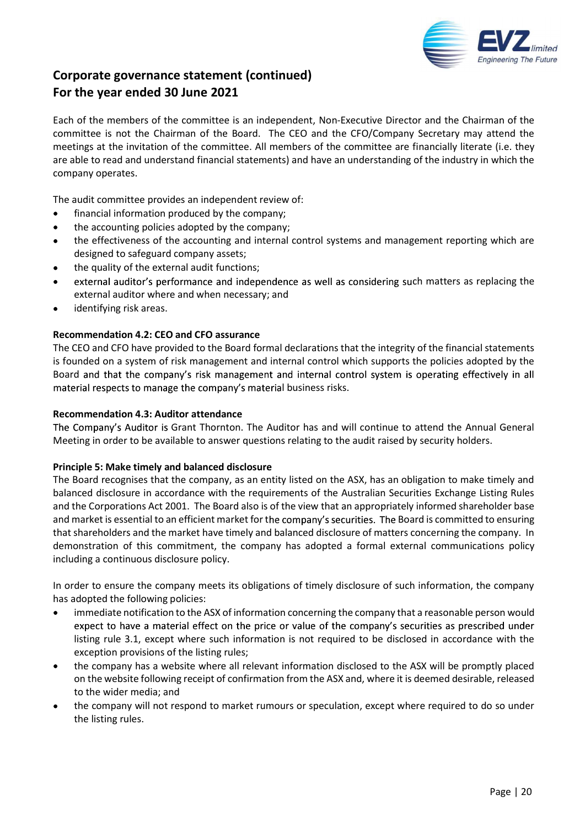

Each of the members of the committee is an independent, Non-Executive Director and the Chairman of the committee is not the Chairman of the Board. The CEO and the CFO/Company Secretary may attend the meetings at the invitation of the committee. All members of the committee are financially literate (i.e. they are able to read and understand financial statements) and have an understanding of the industry in which the company operates.

The audit committee provides an independent review of:

- financial information produced by the company;
- the accounting policies adopted by the company;  $\bullet$
- the effectiveness of the accounting and internal control systems and management reporting which are designed to safeguard company assets;
- the quality of the external audit functions;
- external auditor's performance and independence as well as considering such matters as replacing the external auditor where and when necessary; and
- identifying risk areas.

# Recommendation 4.2: CEO and CFO assurance

The CEO and CFO have provided to the Board formal declarations that the integrity of the financial statements is founded on a system of risk management and internal control which supports the policies adopted by the Board and that the company's risk management and internal control system is operating effectively in all material respects to manage the company's material business risks.

#### Recommendation 4.3: Auditor attendance

The Company's Auditor is Grant Thornton. The Auditor has and will continue to attend the Annual General Meeting in order to be available to answer questions relating to the audit raised by security holders.

#### Principle 5: Make timely and balanced disclosure

The Board recognises that the company, as an entity listed on the ASX, has an obligation to make timely and balanced disclosure in accordance with the requirements of the Australian Securities Exchange Listing Rules and the Corporations Act 2001. The Board also is of the view that an appropriately informed shareholder base and market is essential to an efficient market for the company's securities. The Board is committed to ensuring that shareholders and the market have timely and balanced disclosure of matters concerning the company. In demonstration of this commitment, the company has adopted a formal external communications policy including a continuous disclosure policy.

In order to ensure the company meets its obligations of timely disclosure of such information, the company has adopted the following policies:

- $\bullet$ immediate notification to the ASX of information concerning the company that a reasonable person would expect to have a material effect on the price or value of the company's securities as prescribed under listing rule 3.1, except where such information is not required to be disclosed in accordance with the exception provisions of the listing rules;
- the company has a website where all relevant information disclosed to the ASX will be promptly placed on the website following receipt of confirmation from the ASX and, where it is deemed desirable, released to the wider media; and
- the company will not respond to market rumours or speculation, except where required to do so under the listing rules.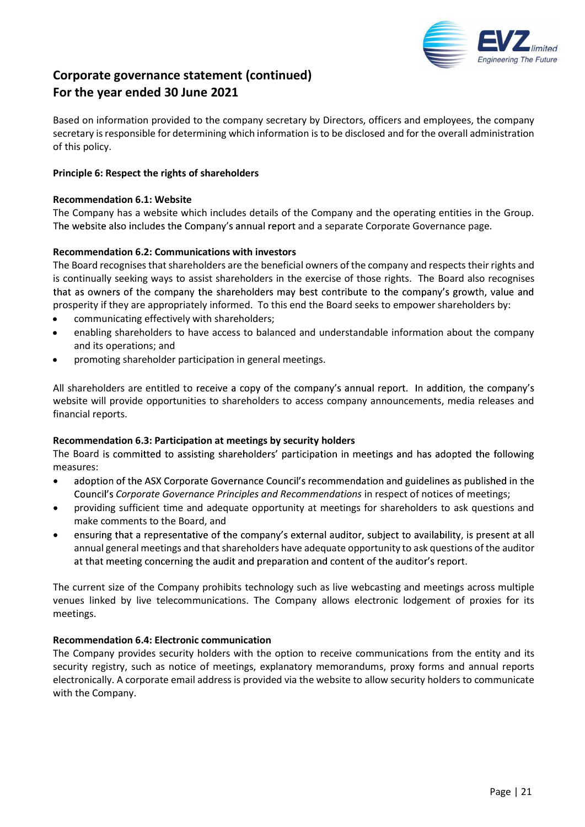

Based on information provided to the company secretary by Directors, officers and employees, the company secretary is responsible for determining which information is to be disclosed and for the overall administration of this policy.

# Principle 6: Respect the rights of shareholders

### Recommendation 6.1: Website

The Company has a website which includes details of the Company and the operating entities in the Group. The website also includes the Company's annual report and a separate Corporate Governance page.

# Recommendation 6.2: Communications with investors

The Board recognises that shareholders are the beneficial owners of the company and respects their rights and is continually seeking ways to assist shareholders in the exercise of those rights. The Board also recognises that as owners of the company the shareholders may best contribute to the company's growth, value and prosperity if they are appropriately informed. To this end the Board seeks to empower shareholders by:

- communicating effectively with shareholders;
- enabling shareholders to have access to balanced and understandable information about the company and its operations; and
- promoting shareholder participation in general meetings.

All shareholders are entitled to receive a copy of the company's annual report. In addition, the company's website will provide opportunities to shareholders to access company announcements, media releases and financial reports.

#### Recommendation 6.3: Participation at meetings by security holders

The Board is committed to assisting shareholders' participation in meetings and has adopted the following measures:

- adoption of the ASX Corporate Governance Council's recommendation and guidelines as published in the  $\bullet$ Council's Corporate Governance Principles and Recommendations in respect of notices of meetings;
- providing sufficient time and adequate opportunity at meetings for shareholders to ask questions and make comments to the Board, and
- ensuring that a representative of the company's external auditor, subject to availability, is present at all annual general meetings and that shareholders have adequate opportunity to ask questions of the auditor at that meeting concerning the audit and preparation and content of the auditor's report.

The current size of the Company prohibits technology such as live webcasting and meetings across multiple venues linked by live telecommunications. The Company allows electronic lodgement of proxies for its meetings.

# Recommendation 6.4: Electronic communication

The Company provides security holders with the option to receive communications from the entity and its security registry, such as notice of meetings, explanatory memorandums, proxy forms and annual reports electronically. A corporate email address is provided via the website to allow security holders to communicate with the Company.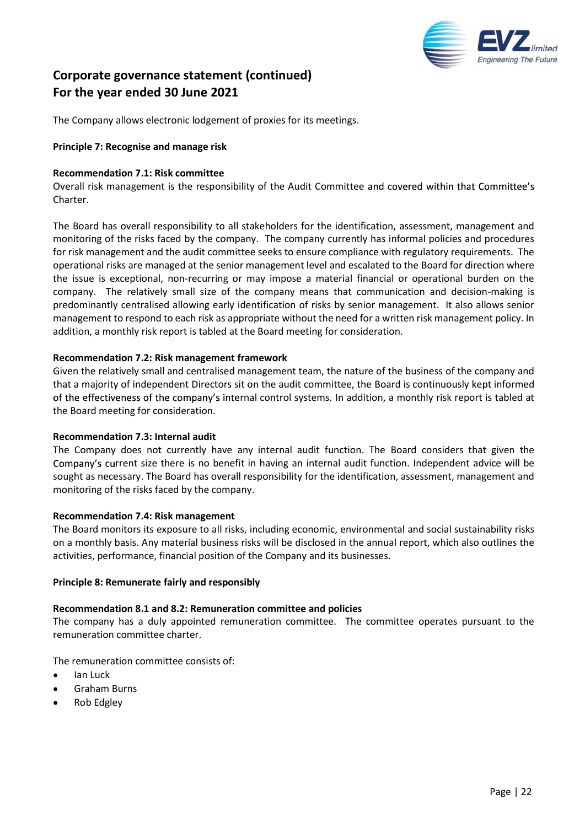

The Company allows electronic lodgement of proxies for its meetings.

# Principle 7: Recognise and manage risk

### Recommendation 7.1: Risk committee

Overall risk management is the responsibility of the Audit Committee and covered within that Committee's Charter.

The Board has overall responsibility to all stakeholders for the identification, assessment, management and monitoring of the risks faced by the company. The company currently has informal policies and procedures for risk management and the audit committee seeks to ensure compliance with regulatory requirements. The operational risks are managed at the senior management level and escalated to the Board for direction where the issue is exceptional, non-recurring or may impose a material financial or operational burden on the company. The relatively small size of the company means that communication and decision-making is predominantly centralised allowing early identification of risks by senior management. It also allows senior management to respond to each risk as appropriate without the need for a written risk management policy. In addition, a monthly risk report is tabled at the Board meeting for consideration.

# Recommendation 7.2: Risk management framework

Given the relatively small and centralised management team, the nature of the business of the company and that a majority of independent Directors sit on the audit committee, the Board is continuously kept informed of the effectiveness of the company's internal control systems. In addition, a monthly risk report is tabled at the Board meeting for consideration.

#### Recommendation 7.3: Internal audit

The Company does not currently have any internal audit function. The Board considers that given the Company's current size there is no benefit in having an internal audit function. Independent advice will be sought as necessary. The Board has overall responsibility for the identification, assessment, management and monitoring of the risks faced by the company.

#### Recommendation 7.4: Risk management

The Board monitors its exposure to all risks, including economic, environmental and social sustainability risks on a monthly basis. Any material business risks will be disclosed in the annual report, which also outlines the activities, performance, financial position of the Company and its businesses.

#### Principle 8: Remunerate fairly and responsibly

# Recommendation 8.1 and 8.2: Remuneration committee and policies

The company has a duly appointed remuneration committee. The committee operates pursuant to the remuneration committee charter.

The remuneration committee consists of:

- Ian Luck
- Graham Burns
- Rob Edgley